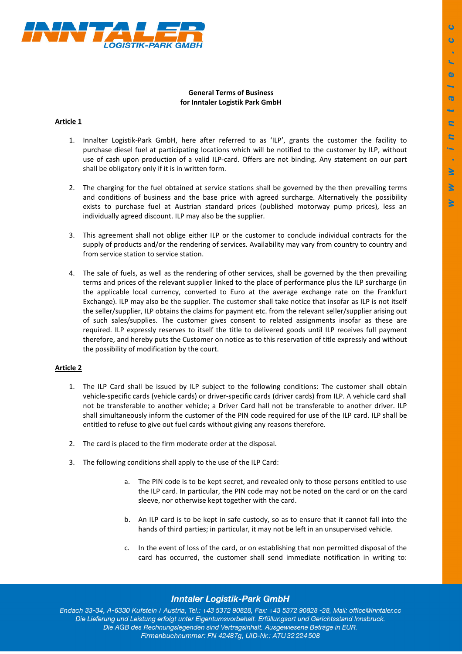

### **General Terms of Business for Inntaler Logistik Park GmbH**

## **Article 1**

- 1. Innalter Logistik-Park GmbH, here after referred to as 'ILP', grants the customer the facility to purchase diesel fuel at participating locations which will be notified to the customer by ILP, without use of cash upon production of a valid ILP-card. Offers are not binding. Any statement on our part shall be obligatory only if it is in written form.
- 2. The charging for the fuel obtained at service stations shall be governed by the then prevailing terms and conditions of business and the base price with agreed surcharge. Alternatively the possibility exists to purchase fuel at Austrian standard prices (published motorway pump prices), less an individually agreed discount. ILP may also be the supplier.
- 3. This agreement shall not oblige either ILP or the customer to conclude individual contracts for the supply of products and/or the rendering of services. Availability may vary from country to country and from service station to service station.
- 4. The sale of fuels, as well as the rendering of other services, shall be governed by the then prevailing terms and prices of the relevant supplier linked to the place of performance plus the ILP surcharge (in the applicable local currency, converted to Euro at the average exchange rate on the Frankfurt Exchange). ILP may also be the supplier. The customer shall take notice that insofar as ILP is not itself the seller/supplier, ILP obtains the claims for payment etc. from the relevant seller/supplier arising out of such sales/supplies. The customer gives consent to related assignments insofar as these are required. ILP expressly reserves to itself the title to delivered goods until ILP receives full payment therefore, and hereby puts the Customer on notice as to this reservation of title expressly and without the possibility of modification by the court.

### **Article 2**

- 1. The ILP Card shall be issued by ILP subject to the following conditions: The customer shall obtain vehicle-specific cards (vehicle cards) or driver-specific cards (driver cards) from ILP. A vehicle card shall not be transferable to another vehicle; a Driver Card hall not be transferable to another driver. ILP shall simultaneously inform the customer of the PIN code required for use of the ILP card. ILP shall be entitled to refuse to give out fuel cards without giving any reasons therefore.
- 2. The card is placed to the firm moderate order at the disposal.
- 3. The following conditions shall apply to the use of the ILP Card:
	- a. The PIN code is to be kept secret, and revealed only to those persons entitled to use the ILP card. In particular, the PIN code may not be noted on the card or on the card sleeve, nor otherwise kept together with the card.
	- b. An ILP card is to be kept in safe custody, so as to ensure that it cannot fall into the hands of third parties; in particular, it may not be left in an unsupervised vehicle.
	- c. In the event of loss of the card, or on establishing that non permitted disposal of the card has occurred, the customer shall send immediate notification in writing to:

# **Inntaler Logistik-Park GmbH**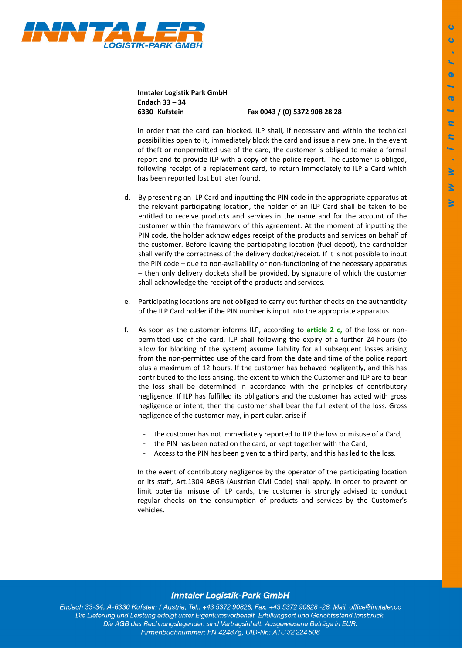

**Inntaler Logistik Park GmbH Endach 33 – 34** 

**6330 Kufstein Fax 0043 / (0) 5372 908 28 28** 

In order that the card can blocked. ILP shall, if necessary and within the technical possibilities open to it, immediately block the card and issue a new one. In the event of theft or nonpermitted use of the card, the customer is obliged to make a formal report and to provide ILP with a copy of the police report. The customer is obliged, following receipt of a replacement card, to return immediately to ILP a Card which has been reported lost but later found.

- d. By presenting an ILP Card and inputting the PIN code in the appropriate apparatus at the relevant participating location, the holder of an ILP Card shall be taken to be entitled to receive products and services in the name and for the account of the customer within the framework of this agreement. At the moment of inputting the PIN code, the holder acknowledges receipt of the products and services on behalf of the customer. Before leaving the participating location (fuel depot), the cardholder shall verify the correctness of the delivery docket/receipt. If it is not possible to input the PIN code – due to non-availability or non-functioning of the necessary apparatus – then only delivery dockets shall be provided, by signature of which the customer shall acknowledge the receipt of the products and services.
- e. Participating locations are not obliged to carry out further checks on the authenticity of the ILP Card holder if the PIN number is input into the appropriate apparatus.
- f. As soon as the customer informs ILP, according to **article 2 c,** of the loss or nonpermitted use of the card, ILP shall following the expiry of a further 24 hours (to allow for blocking of the system) assume liability for all subsequent losses arising from the non-permitted use of the card from the date and time of the police report plus a maximum of 12 hours. If the customer has behaved negligently, and this has contributed to the loss arising, the extent to which the Customer and ILP are to bear the loss shall be determined in accordance with the principles of contributory negligence. If ILP has fulfilled its obligations and the customer has acted with gross negligence or intent, then the customer shall bear the full extent of the loss. Gross negligence of the customer may, in particular, arise if
	- the customer has not immediately reported to ILP the loss or misuse of a Card,
	- the PIN has been noted on the card, or kept together with the Card,
	- Access to the PIN has been given to a third party, and this has led to the loss.

In the event of contributory negligence by the operator of the participating location or its staff, Art.1304 ABGB (Austrian Civil Code) shall apply. In order to prevent or limit potential misuse of ILP cards, the customer is strongly advised to conduct regular checks on the consumption of products and services by the Customer's vehicles.

### **Inntaler Logistik-Park GmbH**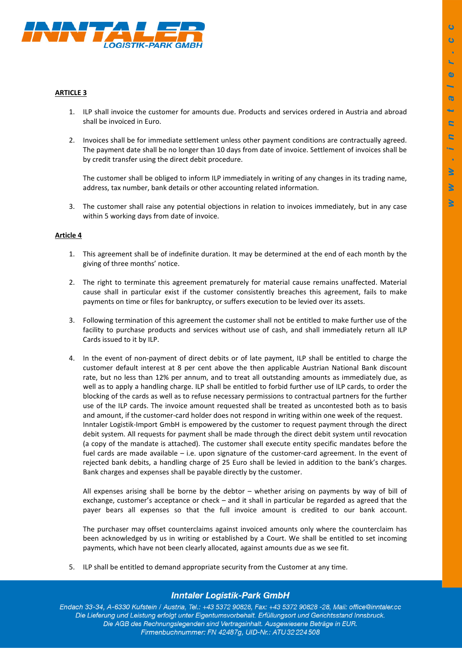

#### **ARTICLE 3**

- 1. ILP shall invoice the customer for amounts due. Products and services ordered in Austria and abroad shall be invoiced in Euro.
- 2. Invoices shall be for immediate settlement unless other payment conditions are contractually agreed. The payment date shall be no longer than 10 days from date of invoice. Settlement of invoices shall be by credit transfer using the direct debit procedure.

The customer shall be obliged to inform ILP immediately in writing of any changes in its trading name, address, tax number, bank details or other accounting related information.

3. The customer shall raise any potential objections in relation to invoices immediately, but in any case within 5 working days from date of invoice.

#### **Article 4**

- 1. This agreement shall be of indefinite duration. It may be determined at the end of each month by the giving of three months' notice.
- 2. The right to terminate this agreement prematurely for material cause remains unaffected. Material cause shall in particular exist if the customer consistently breaches this agreement, fails to make payments on time or files for bankruptcy, or suffers execution to be levied over its assets.
- 3. Following termination of this agreement the customer shall not be entitled to make further use of the facility to purchase products and services without use of cash, and shall immediately return all ILP Cards issued to it by ILP.
- 4. In the event of non-payment of direct debits or of late payment, ILP shall be entitled to charge the customer default interest at 8 per cent above the then applicable Austrian National Bank discount rate, but no less than 12% per annum, and to treat all outstanding amounts as immediately due, as well as to apply a handling charge. ILP shall be entitled to forbid further use of ILP cards, to order the blocking of the cards as well as to refuse necessary permissions to contractual partners for the further use of the ILP cards. The invoice amount requested shall be treated as uncontested both as to basis and amount, if the customer-card holder does not respond in writing within one week of the request. Inntaler Logistik-Import GmbH is empowered by the customer to request payment through the direct debit system. All requests for payment shall be made through the direct debit system until revocation (a copy of the mandate is attached). The customer shall execute entity specific mandates before the fuel cards are made available – i.e. upon signature of the customer-card agreement. In the event of rejected bank debits, a handling charge of 25 Euro shall be levied in addition to the bank's charges. Bank charges and expenses shall be payable directly by the customer.

All expenses arising shall be borne by the debtor – whether arising on payments by way of bill of exchange, customer's acceptance or check – and it shall in particular be regarded as agreed that the payer bears all expenses so that the full invoice amount is credited to our bank account.

The purchaser may offset counterclaims against invoiced amounts only where the counterclaim has been acknowledged by us in writing or established by a Court. We shall be entitled to set incoming payments, which have not been clearly allocated, against amounts due as we see fit.

5. ILP shall be entitled to demand appropriate security from the Customer at any time.

## **Inntaler Logistik-Park GmbH**